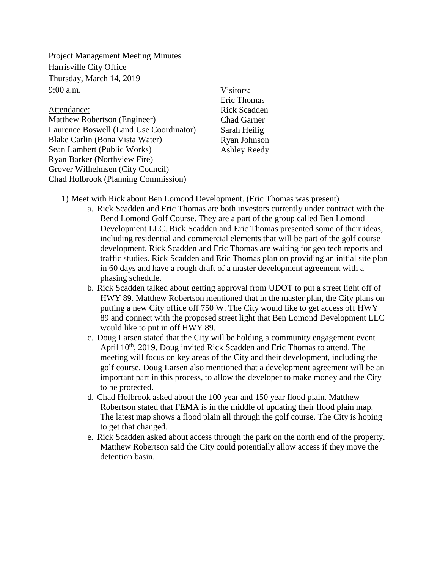Project Management Meeting Minutes Harrisville City Office Thursday, March 14, 2019  $9:00$  a.m.

Attendance: Matthew Robertson (Engineer) Laurence Boswell (Land Use Coordinator) Blake Carlin (Bona Vista Water) Sean Lambert (Public Works) Ryan Barker (Northview Fire) Grover Wilhelmsen (City Council) Chad Holbrook (Planning Commission)

Visitors: Eric Thomas Rick Scadden Chad Garner Sarah Heilig Ryan Johnson Ashley Reedy

- 1) Meet with Rick about Ben Lomond Development. (Eric Thomas was present)
	- a. Rick Scadden and Eric Thomas are both investors currently under contract with the Bend Lomond Golf Course. They are a part of the group called Ben Lomond Development LLC. Rick Scadden and Eric Thomas presented some of their ideas, including residential and commercial elements that will be part of the golf course development. Rick Scadden and Eric Thomas are waiting for geo tech reports and traffic studies. Rick Scadden and Eric Thomas plan on providing an initial site plan in 60 days and have a rough draft of a master development agreement with a phasing schedule.
	- b. Rick Scadden talked about getting approval from UDOT to put a street light off of HWY 89. Matthew Robertson mentioned that in the master plan, the City plans on putting a new City office off 750 W. The City would like to get access off HWY 89 and connect with the proposed street light that Ben Lomond Development LLC would like to put in off HWY 89.
	- c. Doug Larsen stated that the City will be holding a community engagement event April 10<sup>th</sup>, 2019. Doug invited Rick Scadden and Eric Thomas to attend. The meeting will focus on key areas of the City and their development, including the golf course. Doug Larsen also mentioned that a development agreement will be an important part in this process, to allow the developer to make money and the City to be protected.
	- d. Chad Holbrook asked about the 100 year and 150 year flood plain. Matthew Robertson stated that FEMA is in the middle of updating their flood plain map. The latest map shows a flood plain all through the golf course. The City is hoping to get that changed.
	- e. Rick Scadden asked about access through the park on the north end of the property. Matthew Robertson said the City could potentially allow access if they move the detention basin.